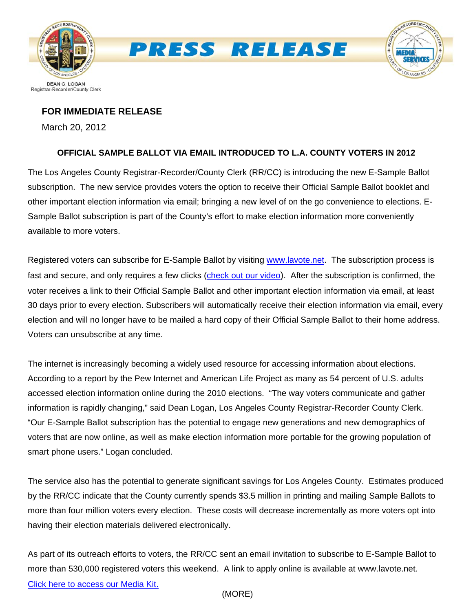





## **FOR IMMEDIATE RELEASE**

March 20, 2012

# **OFFICIAL SAMPLE BALLOT VIA EMAIL INTRODUCED TO L.A. COUNTY VOTERS IN 2012**

The Los Angeles County Registrar-Recorder/County Clerk (RR/CC) is introducing the new E-Sample Ballot subscription. The new service provides voters the option to receive their Official Sample Ballot booklet and other important election information via email; bringing a new level of on the go convenience to elections. E-Sample Ballot subscription is part of the County's effort to make election information more conveniently available to more voters.

Registered voters can subscribe for E-Sample Ballot by visiting [www.lavote.net.](http://www.lavote.net/) The subscription process is fast and secure, and only requires a few clicks ([check out our video](http://www.lavote.net/VOTER/VIDEOS/Default.cfm?VideoID=102)). After the subscription is confirmed, the voter receives a link to their Official Sample Ballot and other important election information via email, at least 30 days prior to every election. Subscribers will automatically receive their election information via email, every election and will no longer have to be mailed a hard copy of their Official Sample Ballot to their home address. Voters can unsubscribe at any time.

The internet is increasingly becoming a widely used resource for accessing information about elections. According to a report by the Pew Internet and American Life Project as many as 54 percent of U.S. adults accessed election information online during the 2010 elections. "The way voters communicate and gather information is rapidly changing," said Dean Logan, Los Angeles County Registrar-Recorder County Clerk. "Our E-Sample Ballot subscription has the potential to engage new generations and new demographics of voters that are now online, as well as make election information more portable for the growing population of smart phone users." Logan concluded.

The service also has the potential to generate significant savings for Los Angeles County. Estimates produced by the RR/CC indicate that the County currently spends \$3.5 million in printing and mailing Sample Ballots to more than four million voters every election. These costs will decrease incrementally as more voters opt into having their election materials delivered electronically.

As part of its outreach efforts to voters, the RR/CC sent an email invitation to subscribe to E-Sample Ballot to more than 530,000 registered voters this weekend. A link to apply online is available at [www.lavote.net.](http://www.lavote.net/) [Click here to access our Media Kit.](http://www.lavote.net/GENERAL/Press_Room.cfm?Section=Downloads)